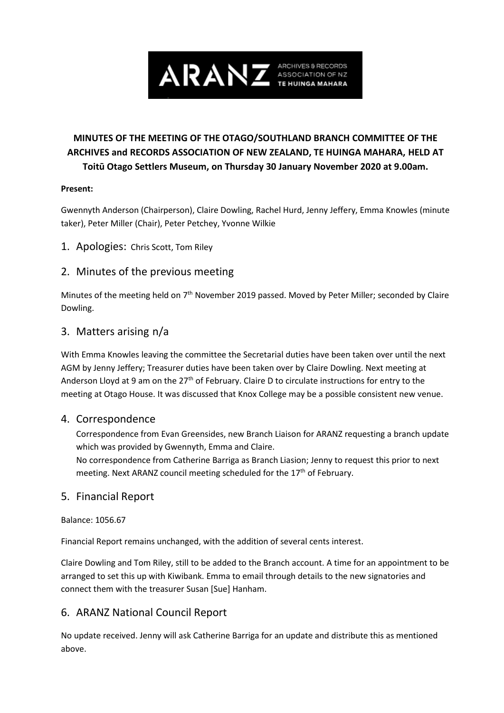

# **MINUTES OF THE MEETING OF THE OTAGO/SOUTHLAND BRANCH COMMITTEE OF THE ARCHIVES and RECORDS ASSOCIATION OF NEW ZEALAND, TE HUINGA MAHARA, HELD AT Toitū Otago Settlers Museum, on Thursday 30 January November 2020 at 9.00am.**

### **Present:**

Gwennyth Anderson (Chairperson), Claire Dowling, Rachel Hurd, Jenny Jeffery, Emma Knowles (minute taker), Peter Miller (Chair), Peter Petchey, Yvonne Wilkie

1. Apologies: Chris Scott, Tom Riley

## 2. Minutes of the previous meeting

Minutes of the meeting held on 7<sup>th</sup> November 2019 passed. Moved by Peter Miller; seconded by Claire Dowling.

## 3. Matters arising n/a

With Emma Knowles leaving the committee the Secretarial duties have been taken over until the next AGM by Jenny Jeffery; Treasurer duties have been taken over by Claire Dowling. Next meeting at Anderson Lloyd at 9 am on the  $27<sup>th</sup>$  of February. Claire D to circulate instructions for entry to the meeting at Otago House. It was discussed that Knox College may be a possible consistent new venue.

## 4. Correspondence

Correspondence from Evan Greensides, new Branch Liaison for ARANZ requesting a branch update which was provided by Gwennyth, Emma and Claire.

No correspondence from Catherine Barriga as Branch Liasion; Jenny to request this prior to next meeting. Next ARANZ council meeting scheduled for the  $17<sup>th</sup>$  of February.

## 5. Financial Report

### Balance: 1056.67

Financial Report remains unchanged, with the addition of several cents interest.

Claire Dowling and Tom Riley, still to be added to the Branch account. A time for an appointment to be arranged to set this up with Kiwibank. Emma to email through details to the new signatories and connect them with the treasurer Susan [Sue] Hanham.

## 6. ARANZ National Council Report

No update received. Jenny will ask Catherine Barriga for an update and distribute this as mentioned above.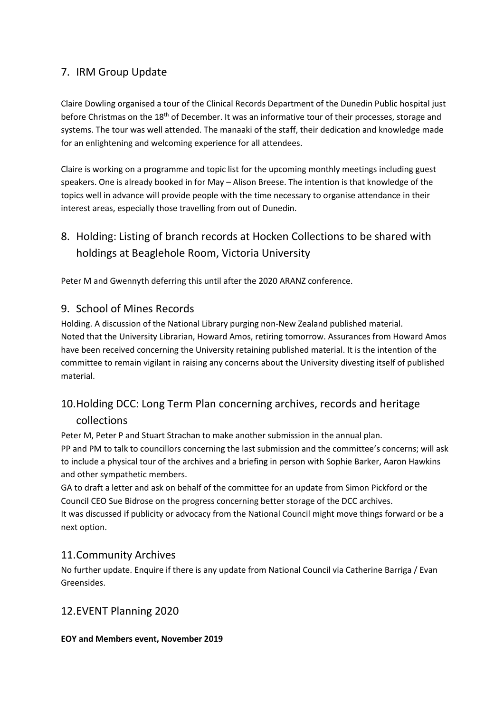# 7. IRM Group Update

Claire Dowling organised a tour of the Clinical Records Department of the Dunedin Public hospital just before Christmas on the 18<sup>th</sup> of December. It was an informative tour of their processes, storage and systems. The tour was well attended. The manaaki of the staff, their dedication and knowledge made for an enlightening and welcoming experience for all attendees.

Claire is working on a programme and topic list for the upcoming monthly meetings including guest speakers. One is already booked in for May – Alison Breese. The intention is that knowledge of the topics well in advance will provide people with the time necessary to organise attendance in their interest areas, especially those travelling from out of Dunedin.

# 8. Holding: Listing of branch records at Hocken Collections to be shared with holdings at Beaglehole Room, Victoria University

Peter M and Gwennyth deferring this until after the 2020 ARANZ conference.

## 9. School of Mines Records

Holding. A discussion of the National Library purging non-New Zealand published material. Noted that the University Librarian, Howard Amos, retiring tomorrow. Assurances from Howard Amos have been received concerning the University retaining published material. It is the intention of the committee to remain vigilant in raising any concerns about the University divesting itself of published material.

# 10.Holding DCC: Long Term Plan concerning archives, records and heritage collections

Peter M, Peter P and Stuart Strachan to make another submission in the annual plan. PP and PM to talk to councillors concerning the last submission and the committee's concerns; will ask to include a physical tour of the archives and a briefing in person with Sophie Barker, Aaron Hawkins and other sympathetic members.

GA to draft a letter and ask on behalf of the committee for an update from Simon Pickford or the Council CEO Sue Bidrose on the progress concerning better storage of the DCC archives. It was discussed if publicity or advocacy from the National Council might move things forward or be a next option.

## 11.Community Archives

No further update. Enquire if there is any update from National Council via Catherine Barriga / Evan Greensides.

## 12.EVENT Planning 2020

## **EOY and Members event, November 2019**